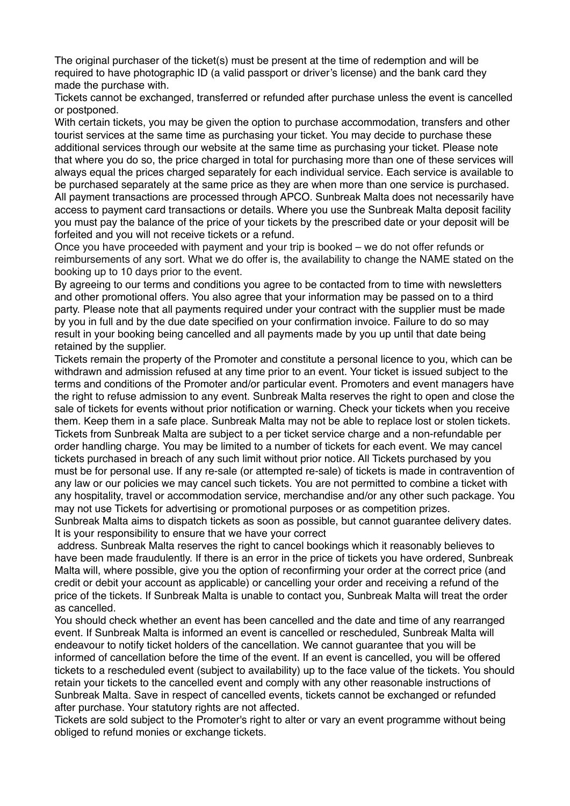The original purchaser of the ticket(s) must be present at the time of redemption and will be required to have photographic ID (a valid passport or driver's license) and the bank card they made the purchase with.

Tickets cannot be exchanged, transferred or refunded after purchase unless the event is cancelled or postponed.

With certain tickets, you may be given the option to purchase accommodation, transfers and other tourist services at the same time as purchasing your ticket. You may decide to purchase these additional services through our website at the same time as purchasing your ticket. Please note that where you do so, the price charged in total for purchasing more than one of these services will always equal the prices charged separately for each individual service. Each service is available to be purchased separately at the same price as they are when more than one service is purchased. All payment transactions are processed through APCO. Sunbreak Malta does not necessarily have access to payment card transactions or details. Where you use the Sunbreak Malta deposit facility you must pay the balance of the price of your tickets by the prescribed date or your deposit will be forfeited and you will not receive tickets or a refund.

Once you have proceeded with payment and your trip is booked – we do not offer refunds or reimbursements of any sort. What we do offer is, the availability to change the NAME stated on the booking up to 10 days prior to the event.

By agreeing to our terms and conditions you agree to be contacted from to time with newsletters and other promotional offers. You also agree that your information may be passed on to a third party. Please note that all payments required under your contract with the supplier must be made by you in full and by the due date specified on your confirmation invoice. Failure to do so may result in your booking being cancelled and all payments made by you up until that date being retained by the supplier.

Tickets remain the property of the Promoter and constitute a personal licence to you, which can be withdrawn and admission refused at any time prior to an event. Your ticket is issued subject to the terms and conditions of the Promoter and/or particular event. Promoters and event managers have the right to refuse admission to any event. Sunbreak Malta reserves the right to open and close the sale of tickets for events without prior notification or warning. Check your tickets when you receive them. Keep them in a safe place. Sunbreak Malta may not be able to replace lost or stolen tickets. Tickets from Sunbreak Malta are subject to a per ticket service charge and a non-refundable per order handling charge. You may be limited to a number of tickets for each event. We may cancel tickets purchased in breach of any such limit without prior notice. All Tickets purchased by you must be for personal use. If any re-sale (or attempted re-sale) of tickets is made in contravention of any law or our policies we may cancel such tickets. You are not permitted to combine a ticket with any hospitality, travel or accommodation service, merchandise and/or any other such package. You may not use Tickets for advertising or promotional purposes or as competition prizes.

Sunbreak Malta aims to dispatch tickets as soon as possible, but cannot guarantee delivery dates. It is your responsibility to ensure that we have your correct

 address. Sunbreak Malta reserves the right to cancel bookings which it reasonably believes to have been made fraudulently. If there is an error in the price of tickets you have ordered, Sunbreak Malta will, where possible, give you the option of reconfirming your order at the correct price (and credit or debit your account as applicable) or cancelling your order and receiving a refund of the price of the tickets. If Sunbreak Malta is unable to contact you, Sunbreak Malta will treat the order as cancelled.

You should check whether an event has been cancelled and the date and time of any rearranged event. If Sunbreak Malta is informed an event is cancelled or rescheduled, Sunbreak Malta will endeavour to notify ticket holders of the cancellation. We cannot guarantee that you will be informed of cancellation before the time of the event. If an event is cancelled, you will be offered tickets to a rescheduled event (subject to availability) up to the face value of the tickets. You should retain your tickets to the cancelled event and comply with any other reasonable instructions of Sunbreak Malta. Save in respect of cancelled events, tickets cannot be exchanged or refunded after purchase. Your statutory rights are not affected.

Tickets are sold subject to the Promoter's right to alter or vary an event programme without being obliged to refund monies or exchange tickets.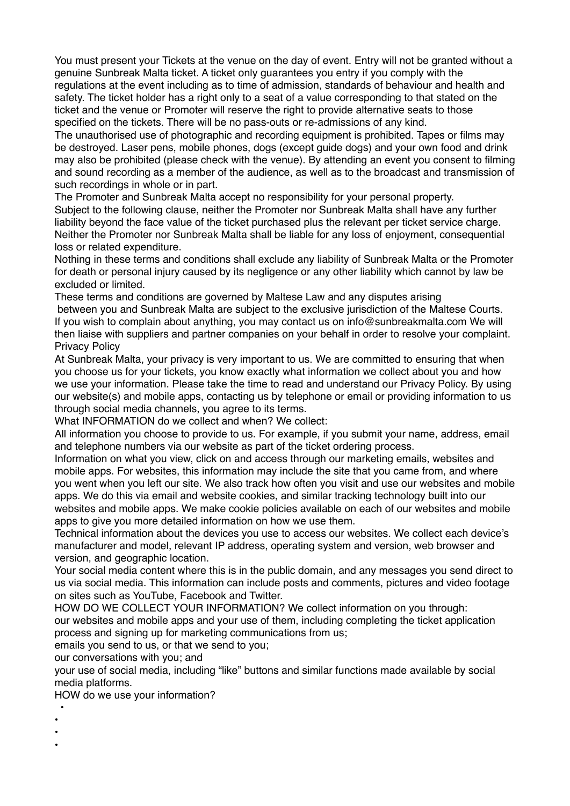You must present your Tickets at the venue on the day of event. Entry will not be granted without a genuine Sunbreak Malta ticket. A ticket only guarantees you entry if you comply with the regulations at the event including as to time of admission, standards of behaviour and health and safety. The ticket holder has a right only to a seat of a value corresponding to that stated on the ticket and the venue or Promoter will reserve the right to provide alternative seats to those specified on the tickets. There will be no pass-outs or re-admissions of any kind.

The unauthorised use of photographic and recording equipment is prohibited. Tapes or films may be destroyed. Laser pens, mobile phones, dogs (except guide dogs) and your own food and drink may also be prohibited (please check with the venue). By attending an event you consent to filming and sound recording as a member of the audience, as well as to the broadcast and transmission of such recordings in whole or in part.

The Promoter and Sunbreak Malta accept no responsibility for your personal property. Subject to the following clause, neither the Promoter nor Sunbreak Malta shall have any further liability beyond the face value of the ticket purchased plus the relevant per ticket service charge. Neither the Promoter nor Sunbreak Malta shall be liable for any loss of enjoyment, consequential loss or related expenditure.

Nothing in these terms and conditions shall exclude any liability of Sunbreak Malta or the Promoter for death or personal injury caused by its negligence or any other liability which cannot by law be excluded or limited.

These terms and conditions are governed by Maltese Law and any disputes arising between you and Sunbreak Malta are subject to the exclusive jurisdiction of the Maltese Courts. If you wish to complain about anything, you may contact us on info@sunbreakmalta.com We will then liaise with suppliers and partner companies on your behalf in order to resolve your complaint. Privacy Policy

At Sunbreak Malta, your privacy is very important to us. We are committed to ensuring that when you choose us for your tickets, you know exactly what information we collect about you and how we use your information. Please take the time to read and understand our Privacy Policy. By using our website(s) and mobile apps, contacting us by telephone or email or providing information to us through social media channels, you agree to its terms.

What INFORMATION do we collect and when? We collect:

All information you choose to provide to us. For example, if you submit your name, address, email and telephone numbers via our website as part of the ticket ordering process.

Information on what you view, click on and access through our marketing emails, websites and mobile apps. For websites, this information may include the site that you came from, and where you went when you left our site. We also track how often you visit and use our websites and mobile apps. We do this via email and website cookies, and similar tracking technology built into our websites and mobile apps. We make cookie policies available on each of our websites and mobile apps to give you more detailed information on how we use them.

Technical information about the devices you use to access our websites. We collect each device's manufacturer and model, relevant IP address, operating system and version, web browser and version, and geographic location.

Your social media content where this is in the public domain, and any messages you send direct to us via social media. This information can include posts and comments, pictures and video footage on sites such as YouTube, Facebook and Twitter.

HOW DO WE COLLECT YOUR INFORMATION? We collect information on you through: our websites and mobile apps and your use of them, including completing the ticket application process and signing up for marketing communications from us;

emails you send to us, or that we send to you;

our conversations with you; and

your use of social media, including "like" buttons and similar functions made available by social media platforms.

HOW do we use your information?

- •
- •
- •
- •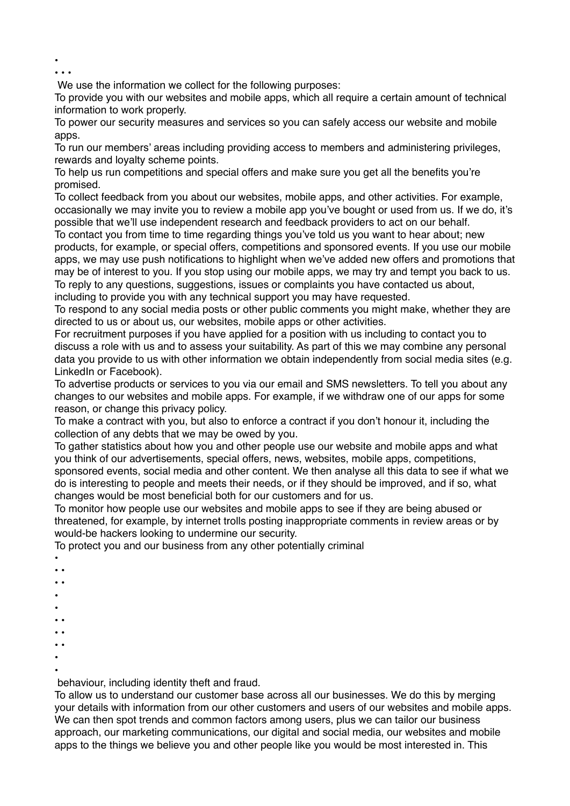• • • •

We use the information we collect for the following purposes:

To provide you with our websites and mobile apps, which all require a certain amount of technical information to work properly.

To power our security measures and services so you can safely access our website and mobile apps.

To run our members' areas including providing access to members and administering privileges, rewards and loyalty scheme points.

To help us run competitions and special offers and make sure you get all the benefits you're promised.

To collect feedback from you about our websites, mobile apps, and other activities. For example, occasionally we may invite you to review a mobile app you've bought or used from us. If we do, it's possible that we'll use independent research and feedback providers to act on our behalf.

To contact you from time to time regarding things you've told us you want to hear about; new products, for example, or special offers, competitions and sponsored events. If you use our mobile apps, we may use push notifications to highlight when we've added new offers and promotions that may be of interest to you. If you stop using our mobile apps, we may try and tempt you back to us. To reply to any questions, suggestions, issues or complaints you have contacted us about, including to provide you with any technical support you may have requested.

To respond to any social media posts or other public comments you might make, whether they are directed to us or about us, our websites, mobile apps or other activities.

For recruitment purposes if you have applied for a position with us including to contact you to discuss a role with us and to assess your suitability. As part of this we may combine any personal data you provide to us with other information we obtain independently from social media sites (e.g. LinkedIn or Facebook).

To advertise products or services to you via our email and SMS newsletters. To tell you about any changes to our websites and mobile apps. For example, if we withdraw one of our apps for some reason, or change this privacy policy.

To make a contract with you, but also to enforce a contract if you don't honour it, including the collection of any debts that we may be owed by you.

To gather statistics about how you and other people use our website and mobile apps and what you think of our advertisements, special offers, news, websites, mobile apps, competitions, sponsored events, social media and other content. We then analyse all this data to see if what we do is interesting to people and meets their needs, or if they should be improved, and if so, what changes would be most beneficial both for our customers and for us.

To monitor how people use our websites and mobile apps to see if they are being abused or threatened, for example, by internet trolls posting inappropriate comments in review areas or by would-be hackers looking to undermine our security.

To protect you and our business from any other potentially criminal

- •
- •
- •
- •
- •
- •
- • • •
- •
- •

behaviour, including identity theft and fraud.

To allow us to understand our customer base across all our businesses. We do this by merging your details with information from our other customers and users of our websites and mobile apps. We can then spot trends and common factors among users, plus we can tailor our business approach, our marketing communications, our digital and social media, our websites and mobile apps to the things we believe you and other people like you would be most interested in. This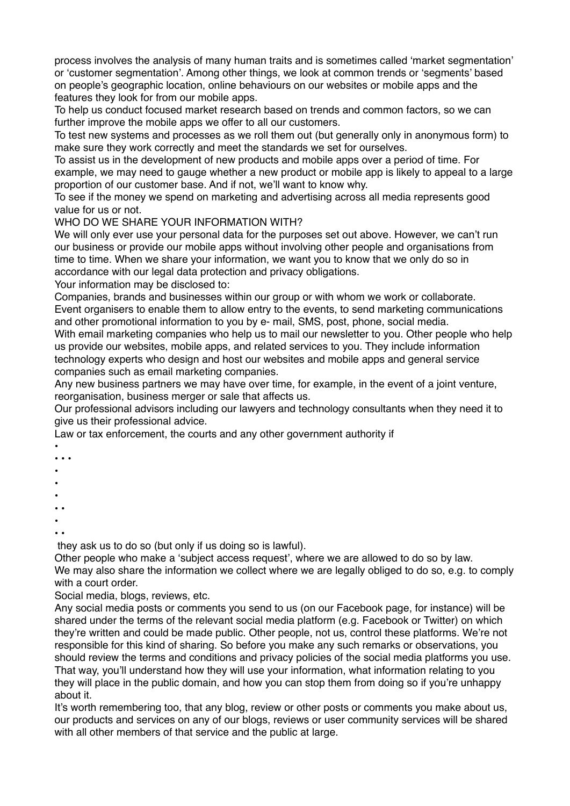process involves the analysis of many human traits and is sometimes called 'market segmentation' or 'customer segmentation'. Among other things, we look at common trends or 'segments' based on people's geographic location, online behaviours on our websites or mobile apps and the features they look for from our mobile apps.

To help us conduct focused market research based on trends and common factors, so we can further improve the mobile apps we offer to all our customers.

To test new systems and processes as we roll them out (but generally only in anonymous form) to make sure they work correctly and meet the standards we set for ourselves.

To assist us in the development of new products and mobile apps over a period of time. For example, we may need to gauge whether a new product or mobile app is likely to appeal to a large proportion of our customer base. And if not, we'll want to know why.

To see if the money we spend on marketing and advertising across all media represents good value for us or not.

WHO DO WE SHARE YOUR INFORMATION WITH?

We will only ever use your personal data for the purposes set out above. However, we can't run our business or provide our mobile apps without involving other people and organisations from time to time. When we share your information, we want you to know that we only do so in accordance with our legal data protection and privacy obligations.

Your information may be disclosed to:

Companies, brands and businesses within our group or with whom we work or collaborate. Event organisers to enable them to allow entry to the events, to send marketing communications and other promotional information to you by e- mail, SMS, post, phone, social media.

With email marketing companies who help us to mail our newsletter to you. Other people who help us provide our websites, mobile apps, and related services to you. They include information technology experts who design and host our websites and mobile apps and general service companies such as email marketing companies.

Any new business partners we may have over time, for example, in the event of a joint venture, reorganisation, business merger or sale that affects us.

Our professional advisors including our lawyers and technology consultants when they need it to give us their professional advice.

Law or tax enforcement, the courts and any other government authority if

- • • •
- 
- •
- •
- •
- •
- •

they ask us to do so (but only if us doing so is lawful).

Other people who make a 'subject access request', where we are allowed to do so by law. We may also share the information we collect where we are legally obliged to do so, e.g. to comply with a court order.

Social media, blogs, reviews, etc.

Any social media posts or comments you send to us (on our Facebook page, for instance) will be shared under the terms of the relevant social media platform (e.g. Facebook or Twitter) on which they're written and could be made public. Other people, not us, control these platforms. We're not responsible for this kind of sharing. So before you make any such remarks or observations, you should review the terms and conditions and privacy policies of the social media platforms you use. That way, you'll understand how they will use your information, what information relating to you they will place in the public domain, and how you can stop them from doing so if you're unhappy about it.

It's worth remembering too, that any blog, review or other posts or comments you make about us, our products and services on any of our blogs, reviews or user community services will be shared with all other members of that service and the public at large.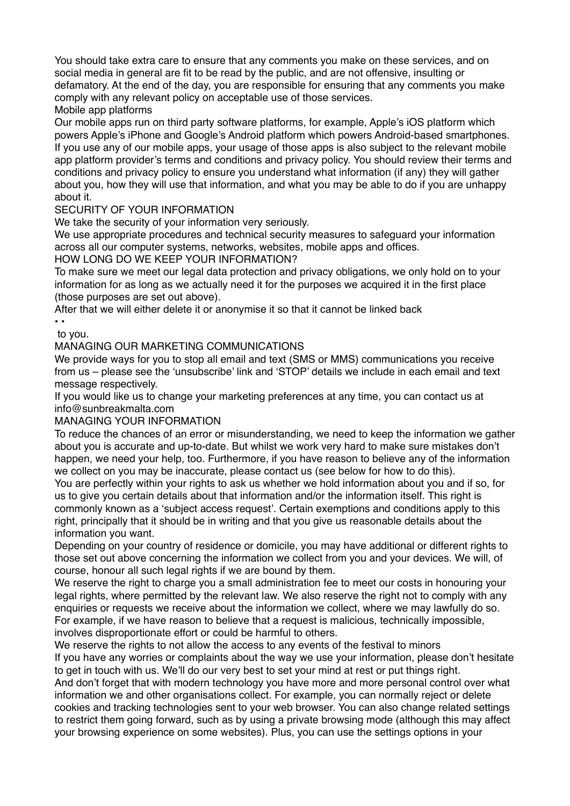You should take extra care to ensure that any comments you make on these services, and on social media in general are fit to be read by the public, and are not offensive, insulting or defamatory. At the end of the day, you are responsible for ensuring that any comments you make comply with any relevant policy on acceptable use of those services.

Mobile app platforms

Our mobile apps run on third party software platforms, for example, Apple's iOS platform which powers Apple's iPhone and Google's Android platform which powers Android-based smartphones. If you use any of our mobile apps, your usage of those apps is also subject to the relevant mobile app platform provider's terms and conditions and privacy policy. You should review their terms and conditions and privacy policy to ensure you understand what information (if any) they will gather about you, how they will use that information, and what you may be able to do if you are unhappy about it.

## SECURITY OF YOUR INFORMATION

We take the security of your information very seriously.

We use appropriate procedures and technical security measures to safeguard your information across all our computer systems, networks, websites, mobile apps and offices.

## HOW LONG DO WE KEEP YOUR INFORMATION?

To make sure we meet our legal data protection and privacy obligations, we only hold on to your information for as long as we actually need it for the purposes we acquired it in the first place (those purposes are set out above).

After that we will either delete it or anonymise it so that it cannot be linked back

• •

 to you. MANAGING OUR MARKETING COMMUNICATIONS

We provide ways for you to stop all email and text (SMS or MMS) communications you receive from us – please see the 'unsubscribe' link and 'STOP' details we include in each email and text message respectively.

If you would like us to change your marketing preferences at any time, you can contact us at info@sunbreakmalta.com

## MANAGING YOUR INFORMATION

To reduce the chances of an error or misunderstanding, we need to keep the information we gather about you is accurate and up-to-date. But whilst we work very hard to make sure mistakes don't happen, we need your help, too. Furthermore, if you have reason to believe any of the information we collect on you may be inaccurate, please contact us (see below for how to do this).

You are perfectly within your rights to ask us whether we hold information about you and if so, for us to give you certain details about that information and/or the information itself. This right is commonly known as a 'subject access request'. Certain exemptions and conditions apply to this right, principally that it should be in writing and that you give us reasonable details about the information you want.

Depending on your country of residence or domicile, you may have additional or different rights to those set out above concerning the information we collect from you and your devices. We will, of course, honour all such legal rights if we are bound by them.

We reserve the right to charge you a small administration fee to meet our costs in honouring your legal rights, where permitted by the relevant law. We also reserve the right not to comply with any enquiries or requests we receive about the information we collect, where we may lawfully do so. For example, if we have reason to believe that a request is malicious, technically impossible, involves disproportionate effort or could be harmful to others.

We reserve the rights to not allow the access to any events of the festival to minors If you have any worries or complaints about the way we use your information, please don't hesitate to get in touch with us. We'll do our very best to set your mind at rest or put things right.

And don't forget that with modern technology you have more and more personal control over what information we and other organisations collect. For example, you can normally reject or delete cookies and tracking technologies sent to your web browser. You can also change related settings to restrict them going forward, such as by using a private browsing mode (although this may affect your browsing experience on some websites). Plus, you can use the settings options in your